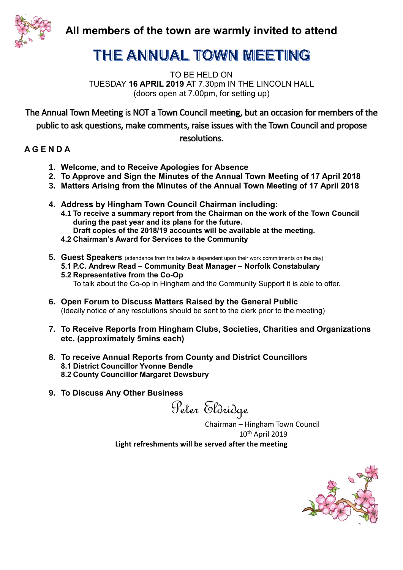

**All members of the town are warmly invited to attend** 

# THE ANNUAL TOWN MEETING

TO BE HELD ON TUESDAY **16 APRIL 2019** AT 7.30pm IN THE LINCOLN HALL (doors open at 7.00pm, for setting up)

The Annual Town Meeting is NOT a Town Council meeting, but an occasion for members of the public to ask questions, make comments, raise issues with the Town Council and propose

resolutions.

### **A G E N D A**

- **1. Welcome, and to Receive Apologies for Absence**
- **2. To Approve and Sign the Minutes of the Annual Town Meeting of 17 April 2018**
- **3. Matters Arising from the Minutes of the Annual Town Meeting of 17 April 2018**
- **4. Address by Hingham Town Council Chairman including:**
	- **4.1 To receive a summary report from the Chairman on the work of the Town Council during the past year and its plans for the future. Draft copies of the 2018/19 accounts will be available at the meeting.**
	- **4.2 Chairman's Award for Services to the Community**
- **5. Guest Speakers** (attendance from the below is dependent upon their work commitments on the day) **5.1 P.C. Andrew Read – Community Beat Manager – Norfolk Constabulary 5.2 Representative from the Co-Op**

To talk about the Co-op in Hingham and the Community Support it is able to offer.

- **6. Open Forum to Discuss Matters Raised by the General Public**  (Ideally notice of any resolutions should be sent to the clerk prior to the meeting)
- **7. To Receive Reports from Hingham Clubs, Societies, Charities and Organizations etc. (approximately 5mins each)**
- **8. To receive Annual Reports from County and District Councillors 8.1 District Councillor Yvonne Bendle 8.2 County Councillor Margaret Dewsbury**
- **9. To Discuss Any Other Business**

Peter Eldridge

Chairman – Hingham Town Council  $10^{\text{th}}$  April 2019 **Light refreshments will be served after the meeting**

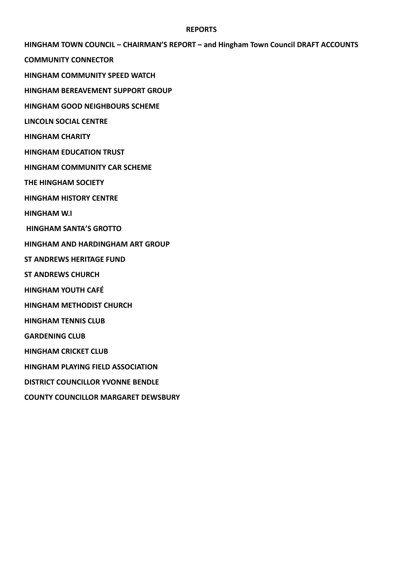#### **REPORTS**

**HINGHAM TOWN COUNCIL – CHAIRMAN'S REPORT – and Hingham Town Council DRAFT ACCOUNTS**

**COMMUNITY CONNECTOR**

**HINGHAM COMMUNITY SPEED WATCH**

**HINGHAM BEREAVEMENT SUPPORT GROUP**

**HINGHAM GOOD NEIGHBOURS SCHEME**

**LINCOLN SOCIAL CENTRE**

**HINGHAM CHARITY**

**HINGHAM EDUCATION TRUST**

**HINGHAM COMMUNITY CAR SCHEME**

**THE HINGHAM SOCIETY**

**HINGHAM HISTORY CENTRE**

**HINGHAM W.I**

**HINGHAM SANTA'S GROTTO**

**HINGHAM AND HARDINGHAM ART GROUP**

**ST ANDREWS HERITAGE FUND**

**ST ANDREWS CHURCH**

**HINGHAM YOUTH CAFÉ**

**HINGHAM METHODIST CHURCH**

**HINGHAM TENNIS CLUB**

**GARDENING CLUB**

**HINGHAM CRICKET CLUB**

**HINGHAM PLAYING FIELD ASSOCIATION**

**DISTRICT COUNCILLOR YVONNE BENDLE**

**COUNTY COUNCILLOR MARGARET DEWSBURY**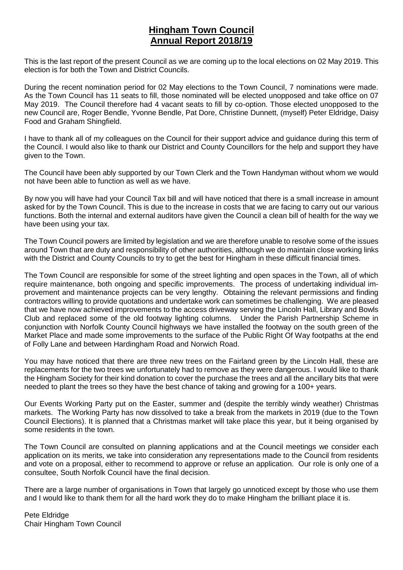## **Hingham Town Council Annual Report 2018/19**

This is the last report of the present Council as we are coming up to the local elections on 02 May 2019. This election is for both the Town and District Councils.

During the recent nomination period for 02 May elections to the Town Council, 7 nominations were made. As the Town Council has 11 seats to fill, those nominated will be elected unopposed and take office on 07 May 2019. The Council therefore had 4 vacant seats to fill by co-option. Those elected unopposed to the new Council are, Roger Bendle, Yvonne Bendle, Pat Dore, Christine Dunnett, (myself) Peter Eldridge, Daisy Food and Graham Shingfield.

I have to thank all of my colleagues on the Council for their support advice and guidance during this term of the Council. I would also like to thank our District and County Councillors for the help and support they have given to the Town.

The Council have been ably supported by our Town Clerk and the Town Handyman without whom we would not have been able to function as well as we have.

By now you will have had your Council Tax bill and will have noticed that there is a small increase in amount asked for by the Town Council. This is due to the increase in costs that we are facing to carry out our various functions. Both the internal and external auditors have given the Council a clean bill of health for the way we have been using your tax.

The Town Council powers are limited by legislation and we are therefore unable to resolve some of the issues around Town that are duty and responsibility of other authorities, although we do maintain close working links with the District and County Councils to try to get the best for Hingham in these difficult financial times.

The Town Council are responsible for some of the street lighting and open spaces in the Town, all of which require maintenance, both ongoing and specific improvements. The process of undertaking individual improvement and maintenance projects can be very lengthy. Obtaining the relevant permissions and finding contractors willing to provide quotations and undertake work can sometimes be challenging. We are pleased that we have now achieved improvements to the access driveway serving the Lincoln Hall, Library and Bowls Club and replaced some of the old footway lighting columns. Under the Parish Partnership Scheme in conjunction with Norfolk County Council highways we have installed the footway on the south green of the Market Place and made some improvements to the surface of the Public Right Of Way footpaths at the end of Folly Lane and between Hardingham Road and Norwich Road.

You may have noticed that there are three new trees on the Fairland green by the Lincoln Hall, these are replacements for the two trees we unfortunately had to remove as they were dangerous. I would like to thank the Hingham Society for their kind donation to cover the purchase the trees and all the ancillary bits that were needed to plant the trees so they have the best chance of taking and growing for a 100+ years.

Our Events Working Party put on the Easter, summer and (despite the terribly windy weather) Christmas markets. The Working Party has now dissolved to take a break from the markets in 2019 (due to the Town Council Elections). It is planned that a Christmas market will take place this year, but it being organised by some residents in the town.

The Town Council are consulted on planning applications and at the Council meetings we consider each application on its merits, we take into consideration any representations made to the Council from residents and vote on a proposal, either to recommend to approve or refuse an application. Our role is only one of a consultee, South Norfolk Council have the final decision.

There are a large number of organisations in Town that largely go unnoticed except by those who use them and I would like to thank them for all the hard work they do to make Hingham the brilliant place it is.

Pete Eldridge Chair Hingham Town Council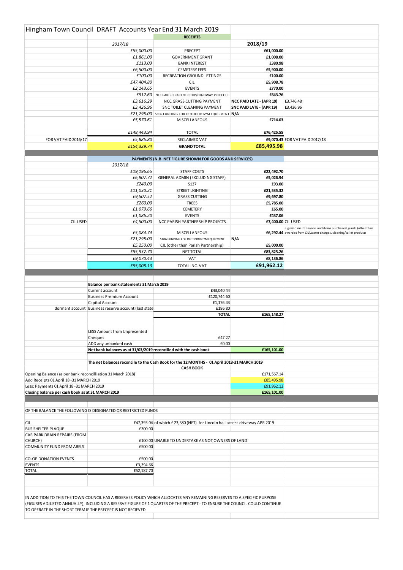|                                                                                    | Hingham Town Council DRAFT Accounts Year End 31 March 2019        |                                                                                                                                                                                                                                                       |                          |                                                                                                                                      |
|------------------------------------------------------------------------------------|-------------------------------------------------------------------|-------------------------------------------------------------------------------------------------------------------------------------------------------------------------------------------------------------------------------------------------------|--------------------------|--------------------------------------------------------------------------------------------------------------------------------------|
|                                                                                    |                                                                   | <b>RECEIPTS</b>                                                                                                                                                                                                                                       |                          |                                                                                                                                      |
|                                                                                    | 2017/18                                                           |                                                                                                                                                                                                                                                       | 2018/19                  |                                                                                                                                      |
|                                                                                    | £55,000.00                                                        | PRECEPT                                                                                                                                                                                                                                               | £61,000.00               |                                                                                                                                      |
|                                                                                    | £1,861.00<br>£113.03                                              | <b>GOVERNMENT GRANT</b><br><b>BANK INTEREST</b>                                                                                                                                                                                                       | £1,008.00<br>£380.98     |                                                                                                                                      |
|                                                                                    | £6,500.00                                                         | <b>CEMETERY FEES</b>                                                                                                                                                                                                                                  | £5,900.00                |                                                                                                                                      |
|                                                                                    | £100.00                                                           | RECREATION GROUND LETTINGS                                                                                                                                                                                                                            | £100.00                  |                                                                                                                                      |
|                                                                                    | £47,404.80                                                        | <b>CIL</b>                                                                                                                                                                                                                                            | £5,908.78                |                                                                                                                                      |
|                                                                                    | £2,143.65                                                         | <b>EVENTS</b>                                                                                                                                                                                                                                         | £770.00                  |                                                                                                                                      |
|                                                                                    |                                                                   | £912.60 NCC PARISH PARTNERSHIP/HIGHWAY PROJECTS                                                                                                                                                                                                       | £643.76                  |                                                                                                                                      |
|                                                                                    | £3,616.29                                                         | NCC GRASS CUTTING PAYMENT                                                                                                                                                                                                                             | NCC PAID LATE - (APR 19) | £3,746.48                                                                                                                            |
|                                                                                    | £3,426.96                                                         | SNC TOILET CLEANING PAYMENT<br>£21,795.00 S106 FUNDING FOR OUTDOOR GYM EQUIPMENT N/A                                                                                                                                                                  | SNC PAID LATE - (APR 19) | £3,426.96                                                                                                                            |
|                                                                                    | £5,570.61                                                         | <b>MISCELLANEOUS</b>                                                                                                                                                                                                                                  | £714.03                  |                                                                                                                                      |
|                                                                                    |                                                                   |                                                                                                                                                                                                                                                       |                          |                                                                                                                                      |
|                                                                                    | £148,443.94                                                       | <b>TOTAL</b>                                                                                                                                                                                                                                          | £76,425.55               |                                                                                                                                      |
| FOR VAT PAID 2016/17                                                               | £5,885.80                                                         | RECLAIMED VAT                                                                                                                                                                                                                                         |                          | £9,070.43 FOR VAT PAID 2017/18                                                                                                       |
|                                                                                    | £154,329.74                                                       | <b>GRAND TOTAL</b>                                                                                                                                                                                                                                    | £85,495.98               |                                                                                                                                      |
|                                                                                    |                                                                   |                                                                                                                                                                                                                                                       |                          |                                                                                                                                      |
|                                                                                    |                                                                   | PAYMENTS (N.B. NET FIGURE SHOWN FOR GOODS AND SERVICES)                                                                                                                                                                                               |                          |                                                                                                                                      |
|                                                                                    | 2017/18                                                           |                                                                                                                                                                                                                                                       |                          |                                                                                                                                      |
|                                                                                    | £19,196.65<br>£6,907.72                                           | <b>STAFF COSTS</b><br>GENERAL ADMIN (EXCLUDING STAFF)                                                                                                                                                                                                 | £22,492.70<br>£5,026.94  |                                                                                                                                      |
|                                                                                    | £240.00                                                           | S137                                                                                                                                                                                                                                                  | £93.00                   |                                                                                                                                      |
|                                                                                    | £11,030.21                                                        | <b>STREET LIGHTING</b>                                                                                                                                                                                                                                | £21,535.32               |                                                                                                                                      |
|                                                                                    | £9,507.52                                                         | <b>GRASS CUTTING</b>                                                                                                                                                                                                                                  | £9,697.80                |                                                                                                                                      |
|                                                                                    | £260.00                                                           | <b>TREES</b>                                                                                                                                                                                                                                          | £5,785.00                |                                                                                                                                      |
|                                                                                    | £1,079.66                                                         | <b>CEMETERY</b>                                                                                                                                                                                                                                       | £65.00                   |                                                                                                                                      |
|                                                                                    | £1,086.20                                                         | <b>EVENTS</b>                                                                                                                                                                                                                                         | £437.06                  |                                                                                                                                      |
| <b>CIL USED</b>                                                                    | £4,500.00                                                         | NCC PARISH PARTNERSHIP PROJECTS                                                                                                                                                                                                                       | £7,400.00 CIL USED       |                                                                                                                                      |
|                                                                                    | £5,084.74                                                         | <b>MISCELLANEOUS</b>                                                                                                                                                                                                                                  |                          | e.g misc maintenance and items purchased, grants (other than<br>£6,292.44 awarded from CIL), water charges, cleaning/toilet products |
|                                                                                    | £21,795.00                                                        | S106 FUNDING FOR OUTDOOR GYM EQUIPMENT                                                                                                                                                                                                                | N/A                      |                                                                                                                                      |
|                                                                                    | £5,250.00                                                         | CIL (other than Parish Partnership)                                                                                                                                                                                                                   | £5,000.00                |                                                                                                                                      |
|                                                                                    | £85,937.70                                                        | <b>NET TOTAL</b>                                                                                                                                                                                                                                      | £83,825.26               |                                                                                                                                      |
|                                                                                    | £9,070.43                                                         | <b>VAT</b>                                                                                                                                                                                                                                            | £8,136.86                |                                                                                                                                      |
|                                                                                    | £95,008.13                                                        | TOTAL INC. VAT                                                                                                                                                                                                                                        | £91,962.12               |                                                                                                                                      |
|                                                                                    |                                                                   |                                                                                                                                                                                                                                                       |                          |                                                                                                                                      |
|                                                                                    |                                                                   |                                                                                                                                                                                                                                                       |                          |                                                                                                                                      |
|                                                                                    | Balance per bank statements 31 March 2019                         |                                                                                                                                                                                                                                                       |                          |                                                                                                                                      |
|                                                                                    | Current account                                                   | £43,040.44                                                                                                                                                                                                                                            |                          |                                                                                                                                      |
|                                                                                    | <b>Business Premium Account</b>                                   | £120,744.60                                                                                                                                                                                                                                           |                          |                                                                                                                                      |
|                                                                                    | Capital Account                                                   | £1,176.43                                                                                                                                                                                                                                             |                          |                                                                                                                                      |
|                                                                                    | dormant account Business reserve account (last state              | £186.80<br><b>TOTAL</b>                                                                                                                                                                                                                               | £165,148.27              |                                                                                                                                      |
|                                                                                    |                                                                   |                                                                                                                                                                                                                                                       |                          |                                                                                                                                      |
|                                                                                    |                                                                   |                                                                                                                                                                                                                                                       |                          |                                                                                                                                      |
|                                                                                    | LESS Amount from Unpresented                                      |                                                                                                                                                                                                                                                       |                          |                                                                                                                                      |
|                                                                                    | Cheques<br>ADD any unbanked cash                                  | £47.27<br>£0.00                                                                                                                                                                                                                                       |                          |                                                                                                                                      |
|                                                                                    | Net bank balances as at 31/03/2019 reconcilled with the cash book |                                                                                                                                                                                                                                                       | £165.101.00              |                                                                                                                                      |
|                                                                                    |                                                                   |                                                                                                                                                                                                                                                       |                          |                                                                                                                                      |
|                                                                                    |                                                                   | The net balances reconcile to the Cash Book for the 12 MONTHS - 01 April 2018-31 MARCH 2019                                                                                                                                                           |                          |                                                                                                                                      |
|                                                                                    |                                                                   | <b>CASH BOOK</b>                                                                                                                                                                                                                                      |                          |                                                                                                                                      |
| Opening Balance (as per bank reconcilliation 31 March 2018)                        |                                                                   |                                                                                                                                                                                                                                                       | £171,567.14              |                                                                                                                                      |
| Add Receipts 01 April 18-31 MARCH 2019<br>Less: Payments 01 April 18-31 MARCH 2019 |                                                                   |                                                                                                                                                                                                                                                       | £85,495.98<br>£91,962.12 |                                                                                                                                      |
| Closing balance per cash book as at 31 MARCH 2019                                  |                                                                   |                                                                                                                                                                                                                                                       | £165,101.00              |                                                                                                                                      |
|                                                                                    |                                                                   |                                                                                                                                                                                                                                                       |                          |                                                                                                                                      |
|                                                                                    |                                                                   |                                                                                                                                                                                                                                                       |                          |                                                                                                                                      |
|                                                                                    | OF THE BALANCE THE FOLLOWING IS DESIGNATED OR RESTRICTED FUNDS    |                                                                                                                                                                                                                                                       |                          |                                                                                                                                      |
| <b>CIL</b>                                                                         |                                                                   | £47,393.04 of which £23,380 (NET) for Lincoln hall access driveway APR 2019                                                                                                                                                                           |                          |                                                                                                                                      |
| <b>BUS SHELTER PLAQUE</b>                                                          | £300.00                                                           |                                                                                                                                                                                                                                                       |                          |                                                                                                                                      |
| CAR PARK DRAIN REPAIRS (FROM                                                       |                                                                   |                                                                                                                                                                                                                                                       |                          |                                                                                                                                      |
| CHURCH)                                                                            |                                                                   | £100.00 UNABLE TO UNDERTAKE AS NOT OWNERS OF LAND                                                                                                                                                                                                     |                          |                                                                                                                                      |
| COMMUNITY FUND FROM ABELS                                                          | £500.00                                                           |                                                                                                                                                                                                                                                       |                          |                                                                                                                                      |
| <b>CO-OP DONATION EVENTS</b>                                                       | £500.00                                                           |                                                                                                                                                                                                                                                       |                          |                                                                                                                                      |
| <b>EVENTS</b>                                                                      | £3,394.66                                                         |                                                                                                                                                                                                                                                       |                          |                                                                                                                                      |
| <b>TOTAL</b>                                                                       | £52,187.70                                                        |                                                                                                                                                                                                                                                       |                          |                                                                                                                                      |
|                                                                                    |                                                                   |                                                                                                                                                                                                                                                       |                          |                                                                                                                                      |
|                                                                                    |                                                                   |                                                                                                                                                                                                                                                       |                          |                                                                                                                                      |
|                                                                                    |                                                                   |                                                                                                                                                                                                                                                       |                          |                                                                                                                                      |
|                                                                                    |                                                                   | IN ADDITION TO THIS THE TOWN COUNCIL HAS A RESERVES POLICY WHICH ALLOCATES ANY REMAINING RESERVES TO A SPECIFIC PURPOSE<br>(FIGURES ADJUSTED ANNUALLY), INCLUDING A RESERVE FIGURE OF 1 QUARTER OF THE PRECEPT - TO ENSURE THE COUNCIL COULD CONTINUE |                          |                                                                                                                                      |
| TO OPERATE IN THE SHORT TERM IF THE PRECEPT IS NOT RECIEVED                        |                                                                   |                                                                                                                                                                                                                                                       |                          |                                                                                                                                      |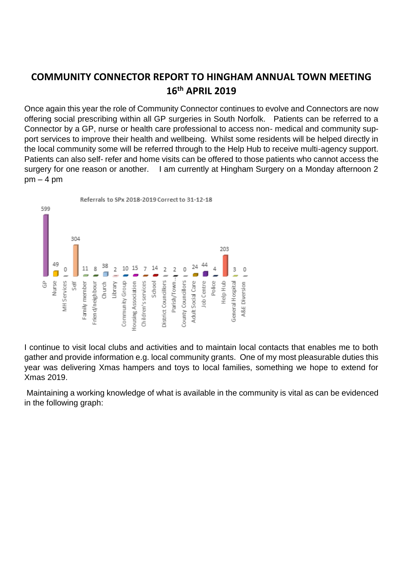## **COMMUNITY CONNECTOR REPORT TO HINGHAM ANNUAL TOWN MEETING 16th APRIL 2019**

Once again this year the role of Community Connector continues to evolve and Connectors are now offering social prescribing within all GP surgeries in South Norfolk. Patients can be referred to a Connector by a GP, nurse or health care professional to access non- medical and community support services to improve their health and wellbeing. Whilst some residents will be helped directly in the local community some will be referred through to the Help Hub to receive multi-agency support. Patients can also self- refer and home visits can be offered to those patients who cannot access the surgery for one reason or another. I am currently at Hingham Surgery on a Monday afternoon 2  $pm - 4 pm$ 



I continue to visit local clubs and activities and to maintain local contacts that enables me to both gather and provide information e.g. local community grants. One of my most pleasurable duties this year was delivering Xmas hampers and toys to local families, something we hope to extend for Xmas 2019.

Maintaining a working knowledge of what is available in the community is vital as can be evidenced in the following graph: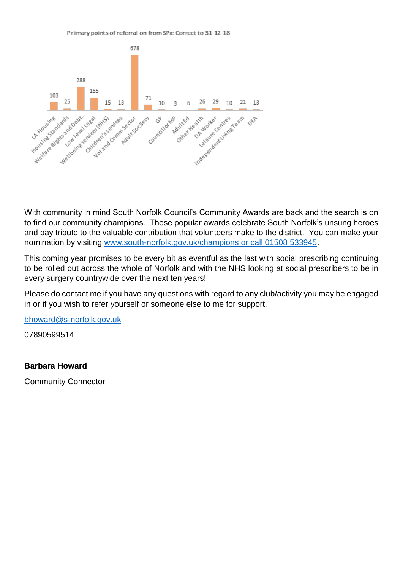



With community in mind South Norfolk Council's Community Awards are back and the search is on to find our community champions. These popular awards celebrate South Norfolk's unsung heroes and pay tribute to the valuable contribution that volunteers make to the district. You can make your nomination by visiting [www.south-norfolk.gov.uk/champions or call 01508 533945.](http://www.south-norfolk.gov.uk/champions%20or%20call%2001508%20533945)

This coming year promises to be every bit as eventful as the last with social prescribing continuing to be rolled out across the whole of Norfolk and with the NHS looking at social prescribers to be in every surgery countrywide over the next ten years!

Please do contact me if you have any questions with regard to any club/activity you may be engaged in or if you wish to refer yourself or someone else to me for support.

[bhoward@s-norfolk.gov.uk](mailto:bhoward@s-norfolk.gov.uk)

07890599514

### **Barbara Howard**

Community Connector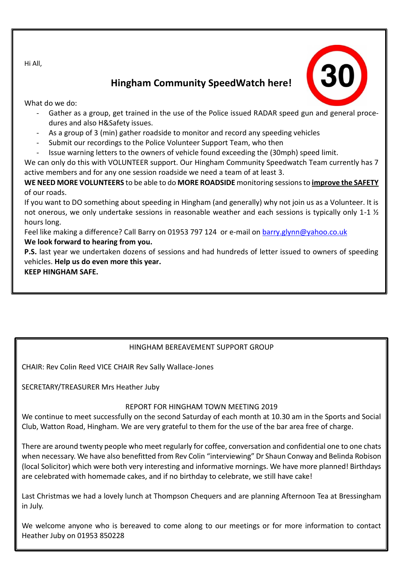Hi All,

## **Hingham Community SpeedWatch here!**

What do we do:

- Gather as a group, get trained in the use of the Police issued RADAR speed gun and general procedures and also H&Safety issues.
- As a group of 3 (min) gather roadside to monitor and record any speeding vehicles
- Submit our recordings to the Police Volunteer Support Team, who then
- Issue warning letters to the owners of vehicle found exceeding the (30mph) speed limit.

We can only do this with VOLUNTEER support. Our Hingham Community Speedwatch Team currently has 7 active members and for any one session roadside we need a team of at least 3.

**WE NEED MORE VOLUNTEERS** to be able to do **MORE ROADSIDE** monitoring sessions to **improve the SAFETY** of our roads.

If you want to DO something about speeding in Hingham (and generally) why not join us as a Volunteer. It is not onerous, we only undertake sessions in reasonable weather and each sessions is typically only 1-1 ½ hours long.

Feel like making a difference? Call Barry on 01953 797 124 or e-mail on [barry.glynn@yahoo.co.uk](mailto:barry.glynn@yahoo.co.uk) **We look forward to hearing from you.**

**P.S.** last year we undertaken dozens of sessions and had hundreds of letter issued to owners of speeding vehicles. **Help us do even more this year.** 

**KEEP HINGHAM SAFE.**

## HINGHAM BEREAVEMENT SUPPORT GROUP

CHAIR: Rev Colin Reed VICE CHAIR Rev Sally Wallace-Jones

SECRETARY/TREASURER Mrs Heather Juby

## REPORT FOR HINGHAM TOWN MEETING 2019

We continue to meet successfully on the second Saturday of each month at 10.30 am in the Sports and Social Club, Watton Road, Hingham. We are very grateful to them for the use of the bar area free of charge.

There are around twenty people who meet regularly for coffee, conversation and confidential one to one chats when necessary. We have also benefitted from Rev Colin "interviewing" Dr Shaun Conway and Belinda Robison (local Solicitor) which were both very interesting and informative mornings. We have more planned! Birthdays are celebrated with homemade cakes, and if no birthday to celebrate, we still have cake!

Last Christmas we had a lovely lunch at Thompson Chequers and are planning Afternoon Tea at Bressingham in July.

We welcome anyone who is bereaved to come along to our meetings or for more information to contact Heather Juby on 01953 850228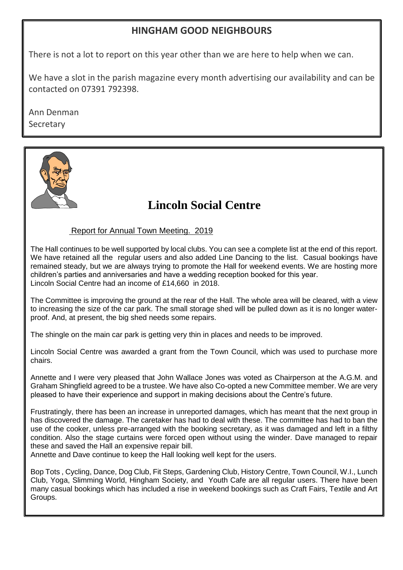## **HINGHAM GOOD NEIGHBOURS**

There is not a lot to report on this year other than we are here to help when we can.

We have a slot in the parish magazine every month advertising our availability and can be contacted on 07391 792398.

Ann Denman Secretary



## **Lincoln Social Centre**

## Report for Annual Town Meeting. 2019

The Hall continues to be well supported by local clubs. You can see a complete list at the end of this report. We have retained all the regular users and also added Line Dancing to the list. Casual bookings have remained steady, but we are always trying to promote the Hall for weekend events. We are hosting more children's parties and anniversaries and have a wedding reception booked for this year. Lincoln Social Centre had an income of £14,660 in 2018.

The Committee is improving the ground at the rear of the Hall. The whole area will be cleared, with a view to increasing the size of the car park. The small storage shed will be pulled down as it is no longer waterproof. And, at present, the big shed needs some repairs.

The shingle on the main car park is getting very thin in places and needs to be improved.

Lincoln Social Centre was awarded a grant from the Town Council, which was used to purchase more chairs.

Annette and I were very pleased that John Wallace Jones was voted as Chairperson at the A.G.M. and Graham Shingfield agreed to be a trustee. We have also Co-opted a new Committee member. We are very pleased to have their experience and support in making decisions about the Centre's future.

Frustratingly, there has been an increase in unreported damages, which has meant that the next group in has discovered the damage. The caretaker has had to deal with these. The committee has had to ban the use of the cooker, unless pre-arranged with the booking secretary, as it was damaged and left in a filthy condition. Also the stage curtains were forced open without using the winder. Dave managed to repair these and saved the Hall an expensive repair bill.

Annette and Dave continue to keep the Hall looking well kept for the users.

Bop Tots , Cycling, Dance, Dog Club, Fit Steps, Gardening Club, History Centre, Town Council, W.I., Lunch Club, Yoga, Slimming World, Hingham Society, and Youth Cafe are all regular users. There have been many casual bookings which has included a rise in weekend bookings such as Craft Fairs, Textile and Art Groups.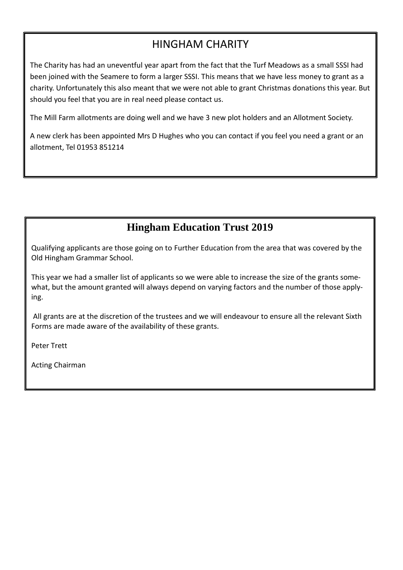## HINGHAM CHARITY

The Charity has had an uneventful year apart from the fact that the Turf Meadows as a small SSSI had been joined with the Seamere to form a larger SSSI. This means that we have less money to grant as a charity. Unfortunately this also meant that we were not able to grant Christmas donations this year. But should you feel that you are in real need please contact us.

The Mill Farm allotments are doing well and we have 3 new plot holders and an Allotment Society.

A new clerk has been appointed Mrs D Hughes who you can contact if you feel you need a grant or an allotment, Tel 01953 851214

## **Hingham Education Trust 2019**

Qualifying applicants are those going on to Further Education from the area that was covered by the Old Hingham Grammar School.

This year we had a smaller list of applicants so we were able to increase the size of the grants somewhat, but the amount granted will always depend on varying factors and the number of those applying.

All grants are at the discretion of the trustees and we will endeavour to ensure all the relevant Sixth Forms are made aware of the availability of these grants.

Peter Trett

Acting Chairman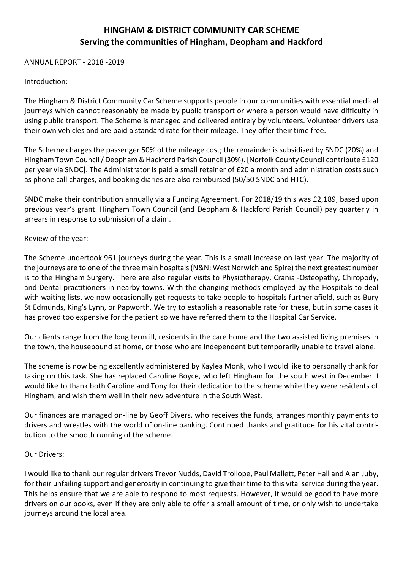## **HINGHAM & DISTRICT COMMUNITY CAR SCHEME Serving the communities of Hingham, Deopham and Hackford**

ANNUAL REPORT - 2018 -2019

#### Introduction:

The Hingham & District Community Car Scheme supports people in our communities with essential medical journeys which cannot reasonably be made by public transport or where a person would have difficulty in using public transport. The Scheme is managed and delivered entirely by volunteers. Volunteer drivers use their own vehicles and are paid a standard rate for their mileage. They offer their time free.

The Scheme charges the passenger 50% of the mileage cost; the remainder is subsidised by SNDC (20%) and Hingham Town Council / Deopham & Hackford Parish Council (30%). [Norfolk County Council contribute £120 per year via SNDC]. The Administrator is paid a small retainer of £20 a month and administration costs such as phone call charges, and booking diaries are also reimbursed (50/50 SNDC and HTC).

SNDC make their contribution annually via a Funding Agreement. For 2018/19 this was £2,189, based upon previous year's grant. Hingham Town Council (and Deopham & Hackford Parish Council) pay quarterly in arrears in response to submission of a claim.

#### Review of the year:

The Scheme undertook 961 journeys during the year. This is a small increase on last year. The majority of the journeys are to one of the three main hospitals (N&N; West Norwich and Spire) the next greatest number is to the Hingham Surgery. There are also regular visits to Physiotherapy, Cranial-Osteopathy, Chiropody, and Dental practitioners in nearby towns. With the changing methods employed by the Hospitals to deal with waiting lists, we now occasionally get requests to take people to hospitals further afield, such as Bury St Edmunds, King's Lynn, or Papworth. We try to establish a reasonable rate for these, but in some cases it has proved too expensive for the patient so we have referred them to the Hospital Car Service.

Our clients range from the long term ill, residents in the care home and the two assisted living premises in the town, the housebound at home, or those who are independent but temporarily unable to travel alone.

The scheme is now being excellently administered by Kaylea Monk, who I would like to personally thank for taking on this task. She has replaced Caroline Boyce, who left Hingham for the south west in December. I would like to thank both Caroline and Tony for their dedication to the scheme while they were residents of Hingham, and wish them well in their new adventure in the South West.

Our finances are managed on-line by Geoff Divers, who receives the funds, arranges monthly payments to drivers and wrestles with the world of on-line banking. Continued thanks and gratitude for his vital contribution to the smooth running of the scheme.

#### Our Drivers:

I would like to thank our regular drivers Trevor Nudds, David Trollope, Paul Mallett, Peter Hall and Alan Juby, for their unfailing support and generosity in continuing to give their time to this vital service during the year. This helps ensure that we are able to respond to most requests. However, it would be good to have more drivers on our books, even if they are only able to offer a small amount of time, or only wish to undertake journeys around the local area.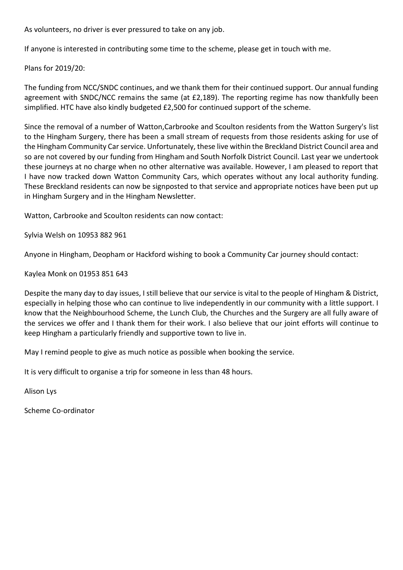As volunteers, no driver is ever pressured to take on any job.

If anyone is interested in contributing some time to the scheme, please get in touch with me.

Plans for 2019/20:

The funding from NCC/SNDC continues, and we thank them for their continued support. Our annual funding agreement with SNDC/NCC remains the same (at £2,189). The reporting regime has now thankfully been simplified. HTC have also kindly budgeted £2,500 for continued support of the scheme.

Since the removal of a number of Watton,Carbrooke and Scoulton residents from the Watton Surgery's list to the Hingham Surgery, there has been a small stream of requests from those residents asking for use of the Hingham Community Car service. Unfortunately, these live within the Breckland District Council area and so are not covered by our funding from Hingham and South Norfolk District Council. Last year we undertook these journeys at no charge when no other alternative was available. However, I am pleased to report that I have now tracked down Watton Community Cars, which operates without any local authority funding. These Breckland residents can now be signposted to that service and appropriate notices have been put up in Hingham Surgery and in the Hingham Newsletter.

Watton, Carbrooke and Scoulton residents can now contact:

Sylvia Welsh on 10953 882 961

Anyone in Hingham, Deopham or Hackford wishing to book a Community Car journey should contact:

Kaylea Monk on 01953 851 643

Despite the many day to day issues, I still believe that our service is vital to the people of Hingham & District, especially in helping those who can continue to live independently in our community with a little support. I know that the Neighbourhood Scheme, the Lunch Club, the Churches and the Surgery are all fully aware of the services we offer and I thank them for their work. I also believe that our joint efforts will continue to keep Hingham a particularly friendly and supportive town to live in.

May I remind people to give as much notice as possible when booking the service.

It is very difficult to organise a trip for someone in less than 48 hours.

Alison Lys

Scheme Co-ordinator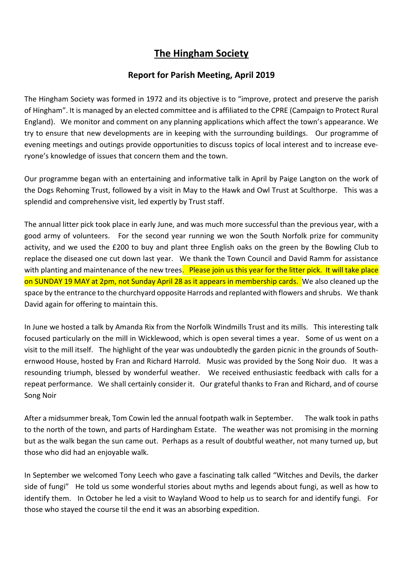## **The Hingham Society**

## **Report for Parish Meeting, April 2019**

The Hingham Society was formed in 1972 and its objective is to "improve, protect and preserve the parish of Hingham". It is managed by an elected committee and is affiliated to the CPRE (Campaign to Protect Rural England). We monitor and comment on any planning applications which affect the town's appearance. We try to ensure that new developments are in keeping with the surrounding buildings. Our programme of evening meetings and outings provide opportunities to discuss topics of local interest and to increase everyone's knowledge of issues that concern them and the town.

Our programme began with an entertaining and informative talk in April by Paige Langton on the work of the Dogs Rehoming Trust, followed by a visit in May to the Hawk and Owl Trust at Sculthorpe. This was a splendid and comprehensive visit, led expertly by Trust staff.

The annual litter pick took place in early June, and was much more successful than the previous year, with a good army of volunteers. For the second year running we won the South Norfolk prize for community activity, and we used the £200 to buy and plant three English oaks on the green by the Bowling Club to replace the diseased one cut down last year. We thank the Town Council and David Ramm for assistance with planting and maintenance of the new trees. Please join us this year for the litter pick. It will take place on SUNDAY 19 MAY at 2pm, not Sunday April 28 as it appears in membership cards. We also cleaned up the space by the entrance to the churchyard opposite Harrods and replanted with flowers and shrubs. We thank David again for offering to maintain this.

In June we hosted a talk by Amanda Rix from the Norfolk Windmills Trust and its mills. This interesting talk focused particularly on the mill in Wicklewood, which is open several times a year. Some of us went on a visit to the mill itself. The highlight of the year was undoubtedly the garden picnic in the grounds of Southernwood House, hosted by Fran and Richard Harrold. Music was provided by the Song Noir duo. It was a resounding triumph, blessed by wonderful weather. We received enthusiastic feedback with calls for a repeat performance. We shall certainly consider it. Our grateful thanks to Fran and Richard, and of course Song Noir

After a midsummer break, Tom Cowin led the annual footpath walk in September. The walk took in paths to the north of the town, and parts of Hardingham Estate. The weather was not promising in the morning but as the walk began the sun came out. Perhaps as a result of doubtful weather, not many turned up, but those who did had an enjoyable walk.

In September we welcomed Tony Leech who gave a fascinating talk called "Witches and Devils, the darker side of fungi" He told us some wonderful stories about myths and legends about fungi, as well as how to identify them. In October he led a visit to Wayland Wood to help us to search for and identify fungi. For those who stayed the course til the end it was an absorbing expedition.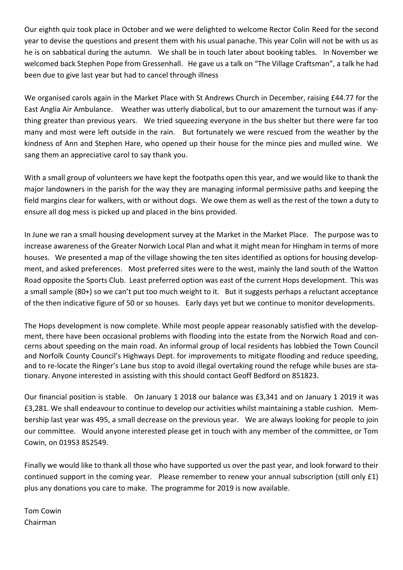Our eighth quiz took place in October and we were delighted to welcome Rector Colin Reed for the second year to devise the questions and present them with his usual panache. This year Colin will not be with us as he is on sabbatical during the autumn. We shall be in touch later about booking tables. In November we welcomed back Stephen Pope from Gressenhall. He gave us a talk on "The Village Craftsman", a talk he had been due to give last year but had to cancel through illness

We organised carols again in the Market Place with St Andrews Church in December, raising £44.77 for the East Anglia Air Ambulance. Weather was utterly diabolical, but to our amazement the turnout was if anything greater than previous years. We tried squeezing everyone in the bus shelter but there were far too many and most were left outside in the rain. But fortunately we were rescued from the weather by the kindness of Ann and Stephen Hare, who opened up their house for the mince pies and mulled wine. We sang them an appreciative carol to say thank you.

With a small group of volunteers we have kept the footpaths open this year, and we would like to thank the major landowners in the parish for the way they are managing informal permissive paths and keeping the field margins clear for walkers, with or without dogs. We owe them as well as the rest of the town a duty to ensure all dog mess is picked up and placed in the bins provided.

In June we ran a small housing development survey at the Market in the Market Place. The purpose was to increase awareness of the Greater Norwich Local Plan and what it might mean for Hingham in terms of more houses. We presented a map of the village showing the ten sites identified as options for housing development, and asked preferences. Most preferred sites were to the west, mainly the land south of the Watton Road opposite the Sports Club. Least preferred option was east of the current Hops development. This was a small sample (80+) so we can't put too much weight to it. But it suggests perhaps a reluctant acceptance of the then indicative figure of 50 or so houses. Early days yet but we continue to monitor developments.

The Hops development is now complete. While most people appear reasonably satisfied with the development, there have been occasional problems with flooding into the estate from the Norwich Road and concerns about speeding on the main road. An informal group of local residents has lobbied the Town Council and Norfolk County Council's Highways Dept. for improvements to mitigate flooding and reduce speeding, and to re-locate the Ringer's Lane bus stop to avoid illegal overtaking round the refuge while buses are stationary. Anyone interested in assisting with this should contact Geoff Bedford on 851823.

Our financial position is stable. On January 1 2018 our balance was £3,341 and on January 1 2019 it was £3,281. We shall endeavour to continue to develop our activities whilst maintaining a stable cushion. Membership last year was 495, a small decrease on the previous year. We are always looking for people to join our committee. Would anyone interested please get in touch with any member of the committee, or Tom Cowin, on 01953 852549.

Finally we would like to thank all those who have supported us over the past year, and look forward to their continued support in the coming year. Please remember to renew your annual subscription (still only £1) plus any donations you care to make. The programme for 2019 is now available.

Tom Cowin Chairman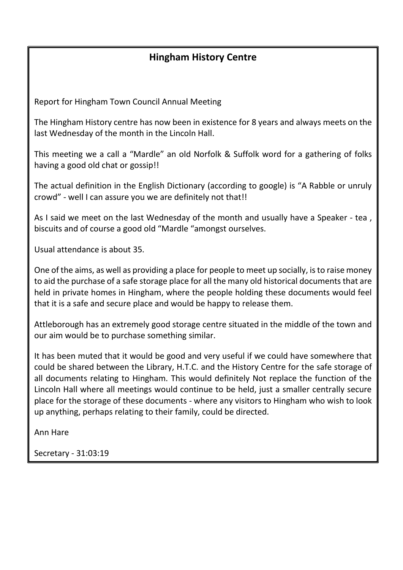## **Hingham History Centre**

Report for Hingham Town Council Annual Meeting

The Hingham History centre has now been in existence for 8 years and always meets on the last Wednesday of the month in the Lincoln Hall.

This meeting we a call a "Mardle" an old Norfolk & Suffolk word for a gathering of folks having a good old chat or gossip!!

The actual definition in the English Dictionary (according to google) is "A Rabble or unruly crowd" - well I can assure you we are definitely not that!!

As I said we meet on the last Wednesday of the month and usually have a Speaker - tea, biscuits and of course a good old "Mardle "amongst ourselves.

Usual attendance is about 35.

One of the aims, as well as providing a place for people to meet up socially, is to raise money to aid the purchase of a safe storage place for all the many old historical documents that are held in private homes in Hingham, where the people holding these documents would feel that it is a safe and secure place and would be happy to release them.

Attleborough has an extremely good storage centre situated in the middle of the town and our aim would be to purchase something similar.

It has been muted that it would be good and very useful if we could have somewhere that could be shared between the Library, H.T.C. and the History Centre for the safe storage of all documents relating to Hingham. This would definitely Not replace the function of the Lincoln Hall where all meetings would continue to be held, just a smaller centrally secure place for the storage of these documents - where any visitors to Hingham who wish to look up anything, perhaps relating to their family, could be directed.

Ann Hare

Secretary - 31:03:19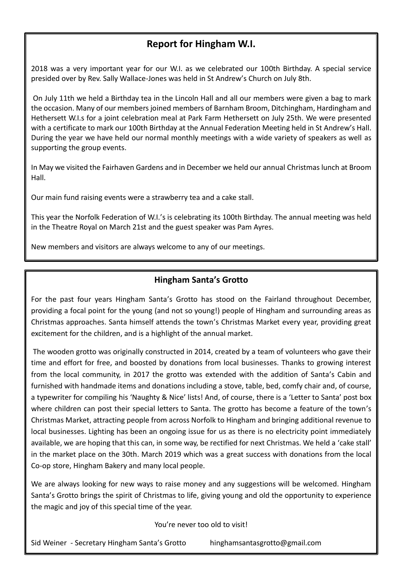## **Report for Hingham W.I.**

2018 was a very important year for our W.I. as we celebrated our 100th Birthday. A special service presided over by Rev. Sally Wallace-Jones was held in St Andrew's Church on July 8th.

On July 11th we held a Birthday tea in the Lincoln Hall and all our members were given a bag to mark the occasion. Many of our members joined members of Barnham Broom, Ditchingham, Hardingham and Hethersett W.I.s for a joint celebration meal at Park Farm Hethersett on July 25th. We were presented with a certificate to mark our 100th Birthday at the Annual Federation Meeting held in St Andrew's Hall. During the year we have held our normal monthly meetings with a wide variety of speakers as well as supporting the group events.

In May we visited the Fairhaven Gardens and in December we held our annual Christmas lunch at Broom Hall.

Our main fund raising events were a strawberry tea and a cake stall.

This year the Norfolk Federation of W.I.'s is celebrating its 100th Birthday. The annual meeting was held in the Theatre Royal on March 21st and the guest speaker was Pam Ayres.

New members and visitors are always welcome to any of our meetings.

## **Hingham Santa's Grotto**

For the past four years Hingham Santa's Grotto has stood on the Fairland throughout December, providing a focal point for the young (and not so young!) people of Hingham and surrounding areas as Christmas approaches. Santa himself attends the town's Christmas Market every year, providing great excitement for the children, and is a highlight of the annual market.

The wooden grotto was originally constructed in 2014, created by a team of volunteers who gave their time and effort for free, and boosted by donations from local businesses. Thanks to growing interest from the local community, in 2017 the grotto was extended with the addition of Santa's Cabin and furnished with handmade items and donations including a stove, table, bed, comfy chair and, of course, a typewriter for compiling his 'Naughty & Nice' lists! And, of course, there is a 'Letter to Santa' post box where children can post their special letters to Santa. The grotto has become a feature of the town's Christmas Market, attracting people from across Norfolk to Hingham and bringing additional revenue to local businesses. Lighting has been an ongoing issue for us as there is no electricity point immediately available, we are hoping that this can, in some way, be rectified for next Christmas. We held a 'cake stall' in the market place on the 30th. March 2019 which was a great success with donations from the local Co-op store, Hingham Bakery and many local people.

We are always looking for new ways to raise money and any suggestions will be welcomed. Hingham Santa's Grotto brings the spirit of Christmas to life, giving young and old the opportunity to experience the magic and joy of this special time of the year.

You're never too old to visit!

Sid Weiner - Secretary Hingham Santa's Grotto hinghamsantasgrotto@gmail.com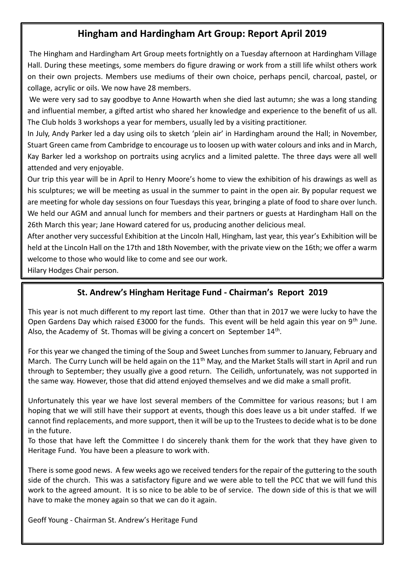## **Hingham and Hardingham Art Group: Report April 2019**

The Hingham and Hardingham Art Group meets fortnightly on a Tuesday afternoon at Hardingham Village Hall. During these meetings, some members do figure drawing or work from a still life whilst others work on their own projects. Members use mediums of their own choice, perhaps pencil, charcoal, pastel, or collage, acrylic or oils. We now have 28 members.

We were very sad to say goodbye to Anne Howarth when she died last autumn; she was a long standing and influential member, a gifted artist who shared her knowledge and experience to the benefit of us all. The Club holds 3 workshops a year for members, usually led by a visiting practitioner.

In July, Andy Parker led a day using oils to sketch 'plein air' in Hardingham around the Hall; in November, Stuart Green came from Cambridge to encourage us to loosen up with water colours and inks and in March, Kay Barker led a workshop on portraits using acrylics and a limited palette. The three days were all well attended and very enjoyable.

Our trip this year will be in April to Henry Moore's home to view the exhibition of his drawings as well as his sculptures; we will be meeting as usual in the summer to paint in the open air. By popular request we are meeting for whole day sessions on four Tuesdays this year, bringing a plate of food to share over lunch. We held our AGM and annual lunch for members and their partners or guests at Hardingham Hall on the 26th March this year; Jane Howard catered for us, producing another delicious meal.

After another very successful Exhibition at the Lincoln Hall, Hingham, last year, this year's Exhibition will be held at the Lincoln Hall on the 17th and 18th November, with the private view on the 16th; we offer a warm welcome to those who would like to come and see our work.

Hilary Hodges Chair person.

## **St. Andrew's Hingham Heritage Fund - Chairman's Report 2019**

This year is not much different to my report last time. Other than that in 2017 we were lucky to have the Open Gardens Day which raised £3000 for the funds. This event will be held again this year on 9<sup>th</sup> June. Also, the Academy of St. Thomas will be giving a concert on September  $14<sup>th</sup>$ .

For this year we changed the timing of the Soup and Sweet Lunches from summer to January, February and March. The Curry Lunch will be held again on the  $11<sup>th</sup>$  May, and the Market Stalls will start in April and run through to September; they usually give a good return. The Ceilidh, unfortunately, was not supported in the same way. However, those that did attend enjoyed themselves and we did make a small profit.

Unfortunately this year we have lost several members of the Committee for various reasons; but I am hoping that we will still have their support at events, though this does leave us a bit under staffed. If we cannot find replacements, and more support, then it will be up to the Trustees to decide what is to be done in the future.

To those that have left the Committee I do sincerely thank them for the work that they have given to Heritage Fund. You have been a pleasure to work with.

There is some good news. A few weeks ago we received tenders for the repair of the guttering to the south side of the church. This was a satisfactory figure and we were able to tell the PCC that we will fund this work to the agreed amount. It is so nice to be able to be of service. The down side of this is that we will have to make the money again so that we can do it again.

Geoff Young - Chairman St. Andrew's Heritage Fund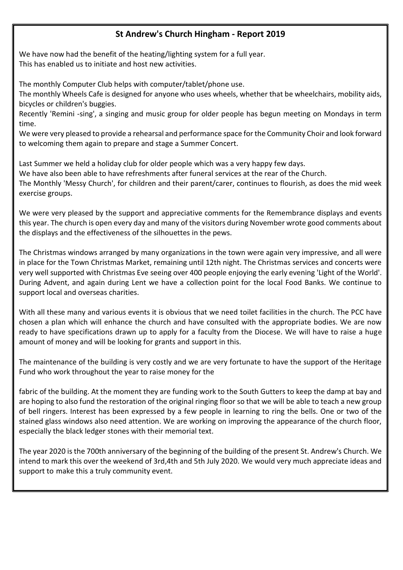## **St Andrew's Church Hingham - Report 2019**

We have now had the benefit of the heating/lighting system for a full year. This has enabled us to initiate and host new activities.

The monthly Computer Club helps with computer/tablet/phone use.

The monthly Wheels Cafe is designed for anyone who uses wheels, whether that be wheelchairs, mobility aids, bicycles or children's buggies.

Recently 'Remini -sing', a singing and music group for older people has begun meeting on Mondays in term time.

We were very pleased to provide a rehearsal and performance space for the Community Choir and look forward to welcoming them again to prepare and stage a Summer Concert.

Last Summer we held a holiday club for older people which was a very happy few days. We have also been able to have refreshments after funeral services at the rear of the Church. The Monthly 'Messy Church', for children and their parent/carer, continues to flourish, as does the mid week exercise groups.

We were very pleased by the support and appreciative comments for the Remembrance displays and events this year. The church is open every day and many of the visitors during November wrote good comments about the displays and the effectiveness of the silhouettes in the pews.

The Christmas windows arranged by many organizations in the town were again very impressive, and all were in place for the Town Christmas Market, remaining until 12th night. The Christmas services and concerts were very well supported with Christmas Eve seeing over 400 people enjoying the early evening 'Light of the World'. During Advent, and again during Lent we have a collection point for the local Food Banks. We continue to support local and overseas charities.

With all these many and various events it is obvious that we need toilet facilities in the church. The PCC have chosen a plan which will enhance the church and have consulted with the appropriate bodies. We are now ready to have specifications drawn up to apply for a faculty from the Diocese. We will have to raise a huge amount of money and will be looking for grants and support in this.

The maintenance of the building is very costly and we are very fortunate to have the support of the Heritage Fund who work throughout the year to raise money for the

fabric of the building. At the moment they are funding work to the South Gutters to keep the damp at bay and are hoping to also fund the restoration of the original ringing floor so that we will be able to teach a new group of bell ringers. Interest has been expressed by a few people in learning to ring the bells. One or two of the stained glass windows also need attention. We are working on improving the appearance of the church floor, especially the black ledger stones with their memorial text.

The year 2020 is the 700th anniversary of the beginning of the building of the present St. Andrew's Church. We intend to mark this over the weekend of 3rd,4th and 5th July 2020. We would very much appreciate ideas and support to make this a truly community event.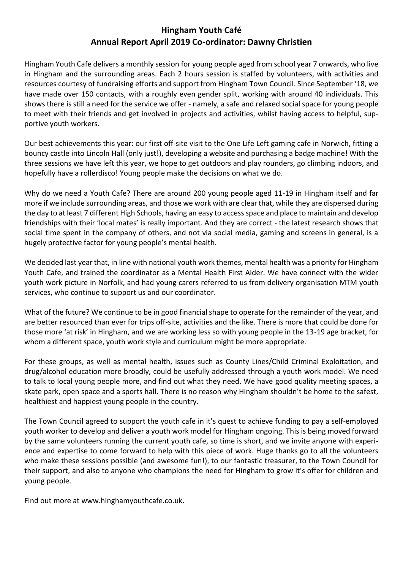## **Hingham Youth Café Annual Report April 2019 Co-ordinator: Dawny Christien**

Hingham Youth Cafe delivers a monthly session for young people aged from school year 7 onwards, who live in Hingham and the surrounding areas. Each 2 hours session is staffed by volunteers, with activities and resources courtesy of fundraising efforts and support from Hingham Town Council. Since September '18, we have made over 150 contacts, with a roughly even gender split, working with around 40 individuals. This shows there is still a need for the service we offer - namely, a safe and relaxed social space for young people to meet with their friends and get involved in projects and activities, whilst having access to helpful, supportive youth workers.

Our best achievements this year: our first off-site visit to the One Life Left gaming cafe in Norwich, fitting a bouncy castle into Lincoln Hall (only just!), developing a website and purchasing a badge machine! With the three sessions we have left this year, we hope to get outdoors and play rounders, go climbing indoors, and hopefully have a rollerdisco! Young people make the decisions on what we do.

Why do we need a Youth Cafe? There are around 200 young people aged 11-19 in Hingham itself and far more if we include surrounding areas, and those we work with are clear that, while they are dispersed during the day to at least 7 different High Schools, having an easy to access space and place to maintain and develop friendships with their 'local mates' is really important. And they are correct - the latest research shows that social time spent in the company of others, and not via social media, gaming and screens in general, is a hugely protective factor for young people's mental health.

We decided last year that, in line with national youth work themes, mental health was a priority for Hingham Youth Cafe, and trained the coordinator as a Mental Health First Aider. We have connect with the wider youth work picture in Norfolk, and had young carers referred to us from delivery organisation MTM youth services, who continue to support us and our coordinator.

What of the future? We continue to be in good financial shape to operate for the remainder of the year, and are better resourced than ever for trips off-site, activities and the like. There is more that could be done for those more 'at risk' in Hingham, and we are working less so with young people in the 13-19 age bracket, for whom a different space, youth work style and curriculum might be more appropriate.

For these groups, as well as mental health, issues such as County Lines/Child Criminal Exploitation, and drug/alcohol education more broadly, could be usefully addressed through a youth work model. We need to talk to local young people more, and find out what they need. We have good quality meeting spaces, a skate park, open space and a sports hall. There is no reason why Hingham shouldn't be home to the safest, healthiest and happiest young people in the country.

The Town Council agreed to support the youth cafe in it's quest to achieve funding to pay a self-employed youth worker to develop and deliver a youth work model for Hingham ongoing. This is being moved forward by the same volunteers running the current youth cafe, so time is short, and we invite anyone with experience and expertise to come forward to help with this piece of work. Huge thanks go to all the volunteers who make these sessions possible (and awesome fun!), to our fantastic treasurer, to the Town Council for their support, and also to anyone who champions the need for Hingham to grow it's offer for children and young people.

Find out more at www.hinghamyouthcafe.co.uk.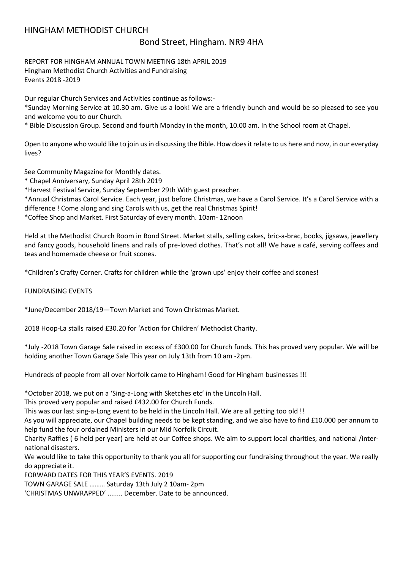### HINGHAM METHODIST CHURCH

### Bond Street, Hingham. NR9 4HA

REPORT FOR HINGHAM ANNUAL TOWN MEETING 18th APRIL 2019 Hingham Methodist Church Activities and Fundraising Events 2018 -2019

Our regular Church Services and Activities continue as follows:-

\*Sunday Morning Service at 10.30 am. Give us a look! We are a friendly bunch and would be so pleased to see you and welcome you to our Church.

\* Bible Discussion Group. Second and fourth Monday in the month, 10.00 am. In the School room at Chapel.

Open to anyone who would like to join us in discussing the Bible. How does it relate to us here and now, in our everyday lives?

See Community Magazine for Monthly dates.

\* Chapel Anniversary, Sunday April 28th 2019

\*Harvest Festival Service, Sunday September 29th With guest preacher.

\*Annual Christmas Carol Service. Each year, just before Christmas, we have a Carol Service. It's a Carol Service with a difference ! Come along and sing Carols with us, get the real Christmas Spirit!

\*Coffee Shop and Market. First Saturday of every month. 10am- 12noon

Held at the Methodist Church Room in Bond Street. Market stalls, selling cakes, bric-a-brac, books, jigsaws, jewellery and fancy goods, household linens and rails of pre-loved clothes. That's not all! We have a café, serving coffees and teas and homemade cheese or fruit scones.

\*Children's Crafty Corner. Crafts for children while the 'grown ups' enjoy their coffee and scones!

FUNDRAISING EVENTS

\*June/December 2018/19—Town Market and Town Christmas Market.

2018 Hoop-La stalls raised £30.20 for 'Action for Children' Methodist Charity.

\*July -2018 Town Garage Sale raised in excess of £300.00 for Church funds. This has proved very popular. We will be holding another Town Garage Sale This year on July 13th from 10 am -2pm.

Hundreds of people from all over Norfolk came to Hingham! Good for Hingham businesses !!!

\*October 2018, we put on a 'Sing-a-Long with Sketches etc' in the Lincoln Hall.

This proved very popular and raised £432.00 for Church Funds.

This was our last sing-a-Long event to be held in the Lincoln Hall. We are all getting too old !!

As you will appreciate, our Chapel building needs to be kept standing, and we also have to find £10.000 per annum to help fund the four ordained Ministers in our Mid Norfolk Circuit.

Charity Raffles ( 6 held per year) are held at our Coffee shops. We aim to support local charities, and national /international disasters.

We would like to take this opportunity to thank you all for supporting our fundraising throughout the year. We really do appreciate it.

FORWARD DATES FOR THIS YEAR'S EVENTS. 2019

TOWN GARAGE SALE ……… Saturday 13th July 2 10am- 2pm

'CHRISTMAS UNWRAPPED' ........ December. Date to be announced.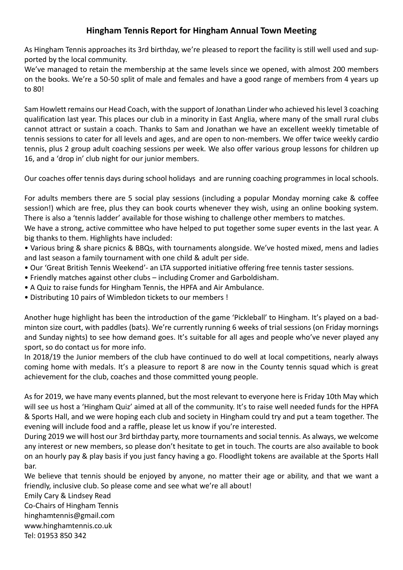## **Hingham Tennis Report for Hingham Annual Town Meeting**

As Hingham Tennis approaches its 3rd birthday, we're pleased to report the facility is still well used and supported by the local community.

We've managed to retain the membership at the same levels since we opened, with almost 200 members on the books. We're a 50-50 split of male and females and have a good range of members from 4 years up to 80!

Sam Howlett remains our Head Coach, with the support of Jonathan Linder who achieved his level 3 coaching qualification last year. This places our club in a minority in East Anglia, where many of the small rural clubs cannot attract or sustain a coach. Thanks to Sam and Jonathan we have an excellent weekly timetable of tennis sessions to cater for all levels and ages, and are open to non-members. We offer twice weekly cardio tennis, plus 2 group adult coaching sessions per week. We also offer various group lessons for children up 16, and a 'drop in' club night for our junior members.

Our coaches offer tennis days during school holidays and are running coaching programmes in local schools.

For adults members there are 5 social play sessions (including a popular Monday morning cake & coffee session!) which are free, plus they can book courts whenever they wish, using an online booking system. There is also a 'tennis ladder' available for those wishing to challenge other members to matches.

We have a strong, active committee who have helped to put together some super events in the last year. A big thanks to them. Highlights have included:

• Various bring & share picnics & BBQs, with tournaments alongside. We've hosted mixed, mens and ladies and last season a family tournament with one child & adult per side.

- Our 'Great British Tennis Weekend'- an LTA supported initiative offering free tennis taster sessions.
- Friendly matches against other clubs including Cromer and Garboldisham.
- A Quiz to raise funds for Hingham Tennis, the HPFA and Air Ambulance.
- Distributing 10 pairs of Wimbledon tickets to our members !

Another huge highlight has been the introduction of the game 'Pickleball' to Hingham. It's played on a badminton size court, with paddles (bats). We're currently running 6 weeks of trial sessions (on Friday mornings and Sunday nights) to see how demand goes. It's suitable for all ages and people who've never played any sport, so do contact us for more info.

In 2018/19 the Junior members of the club have continued to do well at local competitions, nearly always coming home with medals. It's a pleasure to report 8 are now in the County tennis squad which is great achievement for the club, coaches and those committed young people.

As for 2019, we have many events planned, but the most relevant to everyone here is Friday 10th May which will see us host a 'Hingham Quiz' aimed at all of the community. It's to raise well needed funds for the HPFA & Sports Hall, and we were hoping each club and society in Hingham could try and put a team together. The evening will include food and a raffle, please let us know if you're interested.

During 2019 we will host our 3rd birthday party, more tournaments and social tennis. As always, we welcome any interest or new members, so please don't hesitate to get in touch. The courts are also available to book on an hourly pay & play basis if you just fancy having a go. Floodlight tokens are available at the Sports Hall bar.

We believe that tennis should be enjoyed by anyone, no matter their age or ability, and that we want a friendly, inclusive club. So please come and see what we're all about!

Emily Cary & Lindsey Read

Co-Chairs of Hingham Tennis

hinghamtennis@gmail.com

www.hinghamtennis.co.uk

Tel: 01953 850 342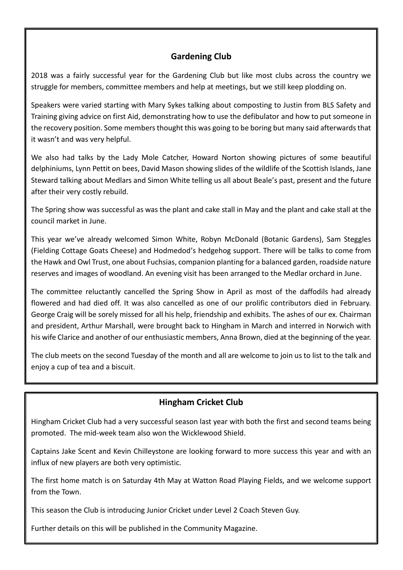## **Gardening Club**

2018 was a fairly successful year for the Gardening Club but like most clubs across the country we struggle for members, committee members and help at meetings, but we still keep plodding on.

Speakers were varied starting with Mary Sykes talking about composting to Justin from BLS Safety and Training giving advice on first Aid, demonstrating how to use the defibulator and how to put someone in the recovery position. Some members thought this was going to be boring but many said afterwards that it wasn't and was very helpful.

We also had talks by the Lady Mole Catcher, Howard Norton showing pictures of some beautiful delphiniums, Lynn Pettit on bees, David Mason showing slides of the wildlife of the Scottish Islands, Jane Steward talking about Medlars and Simon White telling us all about Beale's past, present and the future after their very costly rebuild.

The Spring show was successful as was the plant and cake stall in May and the plant and cake stall at the council market in June.

This year we've already welcomed Simon White, Robyn McDonald (Botanic Gardens), Sam Steggles (Fielding Cottage Goats Cheese) and Hodmedod's hedgehog support. There will be talks to come from the Hawk and Owl Trust, one about Fuchsias, companion planting for a balanced garden, roadside nature reserves and images of woodland. An evening visit has been arranged to the Medlar orchard in June.

The committee reluctantly cancelled the Spring Show in April as most of the daffodils had already flowered and had died off. It was also cancelled as one of our prolific contributors died in February. George Craig will be sorely missed for all his help, friendship and exhibits. The ashes of our ex. Chairman and president, Arthur Marshall, were brought back to Hingham in March and interred in Norwich with his wife Clarice and another of our enthusiastic members, Anna Brown, died at the beginning of the year.

The club meets on the second Tuesday of the month and all are welcome to join us to list to the talk and enjoy a cup of tea and a biscuit.

## **Hingham Cricket Club**

Hingham Cricket Club had a very successful season last year with both the first and second teams being promoted. The mid-week team also won the Wicklewood Shield.

Captains Jake Scent and Kevin Chilleystone are looking forward to more success this year and with an influx of new players are both very optimistic.

The first home match is on Saturday 4th May at Watton Road Playing Fields, and we welcome support from the Town.

This season the Club is introducing Junior Cricket under Level 2 Coach Steven Guy.

Further details on this will be published in the Community Magazine.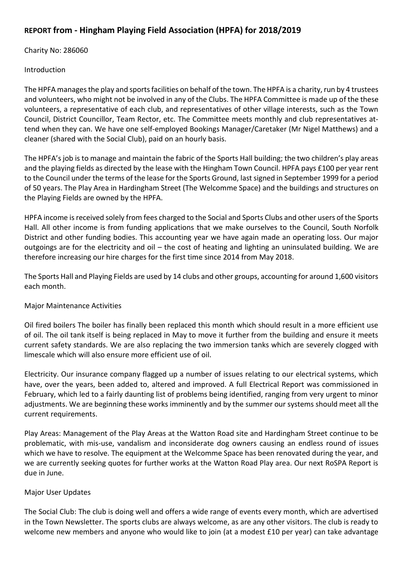## **REPORT from - Hingham Playing Field Association (HPFA) for 2018/2019**

Charity No: 286060

Introduction

The HPFA manages the play and sports facilities on behalf of the town. The HPFA is a charity, run by 4 trustees and volunteers, who might not be involved in any of the Clubs. The HPFA Committee is made up of the these volunteers, a representative of each club, and representatives of other village interests, such as the Town Council, District Councillor, Team Rector, etc. The Committee meets monthly and club representatives attend when they can. We have one self-employed Bookings Manager/Caretaker (Mr Nigel Matthews) and a cleaner (shared with the Social Club), paid on an hourly basis.

The HPFA's job is to manage and maintain the fabric of the Sports Hall building; the two children's play areas and the playing fields as directed by the lease with the Hingham Town Council. HPFA pays £100 per year rent to the Council under the terms of the lease for the Sports Ground, last signed in September 1999 for a period of 50 years. The Play Area in Hardingham Street (The Welcomme Space) and the buildings and structures on the Playing Fields are owned by the HPFA.

HPFA income is received solely from fees charged to the Social and Sports Clubs and other users of the Sports Hall. All other income is from funding applications that we make ourselves to the Council, South Norfolk District and other funding bodies. This accounting year we have again made an operating loss. Our major outgoings are for the electricity and oil – the cost of heating and lighting an uninsulated building. We are therefore increasing our hire charges for the first time since 2014 from May 2018.

The Sports Hall and Playing Fields are used by 14 clubs and other groups, accounting for around 1,600 visitors each month.

### Major Maintenance Activities

Oil fired boilers The boiler has finally been replaced this month which should result in a more efficient use of oil. The oil tank itself is being replaced in May to move it further from the building and ensure it meets current safety standards. We are also replacing the two immersion tanks which are severely clogged with limescale which will also ensure more efficient use of oil.

Electricity. Our insurance company flagged up a number of issues relating to our electrical systems, which have, over the years, been added to, altered and improved. A full Electrical Report was commissioned in February, which led to a fairly daunting list of problems being identified, ranging from very urgent to minor adjustments. We are beginning these works imminently and by the summer our systems should meet all the current requirements.

Play Areas: Management of the Play Areas at the Watton Road site and Hardingham Street continue to be problematic, with mis-use, vandalism and inconsiderate dog owners causing an endless round of issues which we have to resolve. The equipment at the Welcomme Space has been renovated during the year, and we are currently seeking quotes for further works at the Watton Road Play area. Our next RoSPA Report is due in June.

### Major User Updates

The Social Club: The club is doing well and offers a wide range of events every month, which are advertised in the Town Newsletter. The sports clubs are always welcome, as are any other visitors. The club is ready to welcome new members and anyone who would like to join (at a modest £10 per year) can take advantage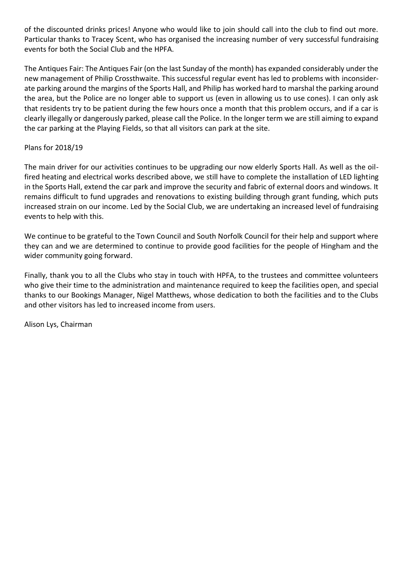of the discounted drinks prices! Anyone who would like to join should call into the club to find out more. Particular thanks to Tracey Scent, who has organised the increasing number of very successful fundraising events for both the Social Club and the HPFA.

The Antiques Fair: The Antiques Fair (on the last Sunday of the month) has expanded considerably under the new management of Philip Crossthwaite. This successful regular event has led to problems with inconsiderate parking around the margins of the Sports Hall, and Philip has worked hard to marshal the parking around the area, but the Police are no longer able to support us (even in allowing us to use cones). I can only ask that residents try to be patient during the few hours once a month that this problem occurs, and if a car is clearly illegally or dangerously parked, please call the Police. In the longer term we are still aiming to expand the car parking at the Playing Fields, so that all visitors can park at the site.

### Plans for 2018/19

The main driver for our activities continues to be upgrading our now elderly Sports Hall. As well as the oilfired heating and electrical works described above, we still have to complete the installation of LED lighting in the Sports Hall, extend the car park and improve the security and fabric of external doors and windows. It remains difficult to fund upgrades and renovations to existing building through grant funding, which puts increased strain on our income. Led by the Social Club, we are undertaking an increased level of fundraising events to help with this.

We continue to be grateful to the Town Council and South Norfolk Council for their help and support where they can and we are determined to continue to provide good facilities for the people of Hingham and the wider community going forward.

Finally, thank you to all the Clubs who stay in touch with HPFA, to the trustees and committee volunteers who give their time to the administration and maintenance required to keep the facilities open, and special thanks to our Bookings Manager, Nigel Matthews, whose dedication to both the facilities and to the Clubs and other visitors has led to increased income from users.

Alison Lys, Chairman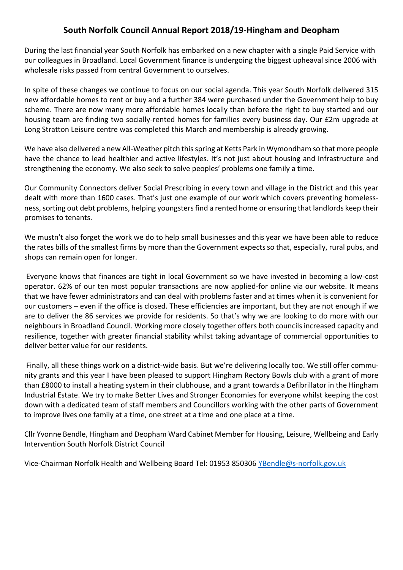## **South Norfolk Council Annual Report 2018/19-Hingham and Deopham**

During the last financial year South Norfolk has embarked on a new chapter with a single Paid Service with our colleagues in Broadland. Local Government finance is undergoing the biggest upheaval since 2006 with wholesale risks passed from central Government to ourselves.

In spite of these changes we continue to focus on our social agenda. This year South Norfolk delivered 315 new affordable homes to rent or buy and a further 384 were purchased under the Government help to buy scheme. There are now many more affordable homes locally than before the right to buy started and our housing team are finding two socially-rented homes for families every business day. Our £2m upgrade at Long Stratton Leisure centre was completed this March and membership is already growing.

We have also delivered a new All-Weather pitch this spring at Ketts Park in Wymondham so that more people have the chance to lead healthier and active lifestyles. It's not just about housing and infrastructure and strengthening the economy. We also seek to solve peoples' problems one family a time.

Our Community Connectors deliver Social Prescribing in every town and village in the District and this year dealt with more than 1600 cases. That's just one example of our work which covers preventing homelessness, sorting out debt problems, helping youngsters find a rented home or ensuring that landlords keep their promises to tenants.

We mustn't also forget the work we do to help small businesses and this year we have been able to reduce the rates bills of the smallest firms by more than the Government expects so that, especially, rural pubs, and shops can remain open for longer.

Everyone knows that finances are tight in local Government so we have invested in becoming a low-cost operator. 62% of our ten most popular transactions are now applied-for online via our website. It means that we have fewer administrators and can deal with problems faster and at times when it is convenient for our customers – even if the office is closed. These efficiencies are important, but they are not enough if we are to deliver the 86 services we provide for residents. So that's why we are looking to do more with our neighbours in Broadland Council. Working more closely together offers both councils increased capacity and resilience, together with greater financial stability whilst taking advantage of commercial opportunities to deliver better value for our residents.

Finally, all these things work on a district-wide basis. But we're delivering locally too. We still offer community grants and this year I have been pleased to support Hingham Rectory Bowls club with a grant of more than £8000 to install a heating system in their clubhouse, and a grant towards a Defibrillator in the Hingham Industrial Estate. We try to make Better Lives and Stronger Economies for everyone whilst keeping the cost down with a dedicated team of staff members and Councillors working with the other parts of Government to improve lives one family at a time, one street at a time and one place at a time.

Cllr Yvonne Bendle, Hingham and Deopham Ward Cabinet Member for Housing, Leisure, Wellbeing and Early Intervention South Norfolk District Council

Vice-Chairman Norfolk Health and Wellbeing Board Tel: 01953 850306 [YBendle@s-norfolk.gov.uk](mailto:YBendle@s-norfolk.gov.uk)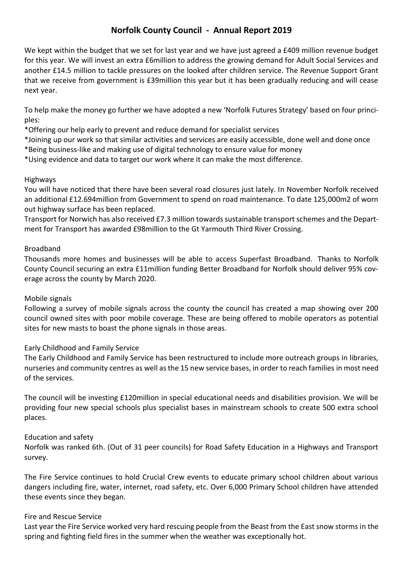## **Norfolk County Council - Annual Report 2019**

We kept within the budget that we set for last year and we have just agreed a £409 million revenue budget for this year. We will invest an extra £6million to address the growing demand for Adult Social Services and another £14.5 million to tackle pressures on the looked after children service. The Revenue Support Grant that we receive from government is £39million this year but it has been gradually reducing and will cease next year.

To help make the money go further we have adopted a new 'Norfolk Futures Strategy' based on four principles:

\*Offering our help early to prevent and reduce demand for specialist services

\*Joining up our work so that similar activities and services are easily accessible, done well and done once \*Being business-like and making use of digital technology to ensure value for money

\*Using evidence and data to target our work where it can make the most difference.

### Highways

You will have noticed that there have been several road closures just lately. In November Norfolk received an additional £12.694million from Government to spend on road maintenance. To date 125,000m2 of worn out highway surface has been replaced.

Transport for Norwich has also received £7.3 million towards sustainable transport schemes and the Department for Transport has awarded £98million to the Gt Yarmouth Third River Crossing.

### Broadband

Thousands more homes and businesses will be able to access Superfast Broadband. Thanks to Norfolk County Council securing an extra £11million funding Better Broadband for Norfolk should deliver 95% coverage across the county by March 2020.

### Mobile signals

Following a survey of mobile signals across the county the council has created a map showing over 200 council owned sites with poor mobile coverage. These are being offered to mobile operators as potential sites for new masts to boast the phone signals in those areas.

### Early Childhood and Family Service

The Early Childhood and Family Service has been restructured to include more outreach groups in libraries, nurseries and community centres as well as the 15 new service bases, in order to reach families in most need of the services.

The council will be investing £120million in special educational needs and disabilities provision. We will be providing four new special schools plus specialist bases in mainstream schools to create 500 extra school places.

### Education and safety

Norfolk was ranked 6th. (Out of 31 peer councils) for Road Safety Education in a Highways and Transport survey.

The Fire Service continues to hold Crucial Crew events to educate primary school children about various dangers including fire, water, internet, road safety, etc. Over 6,000 Primary School children have attended these events since they began.

### Fire and Rescue Service

Last year the Fire Service worked very hard rescuing people from the Beast from the East snow storms in the spring and fighting field fires in the summer when the weather was exceptionally hot.